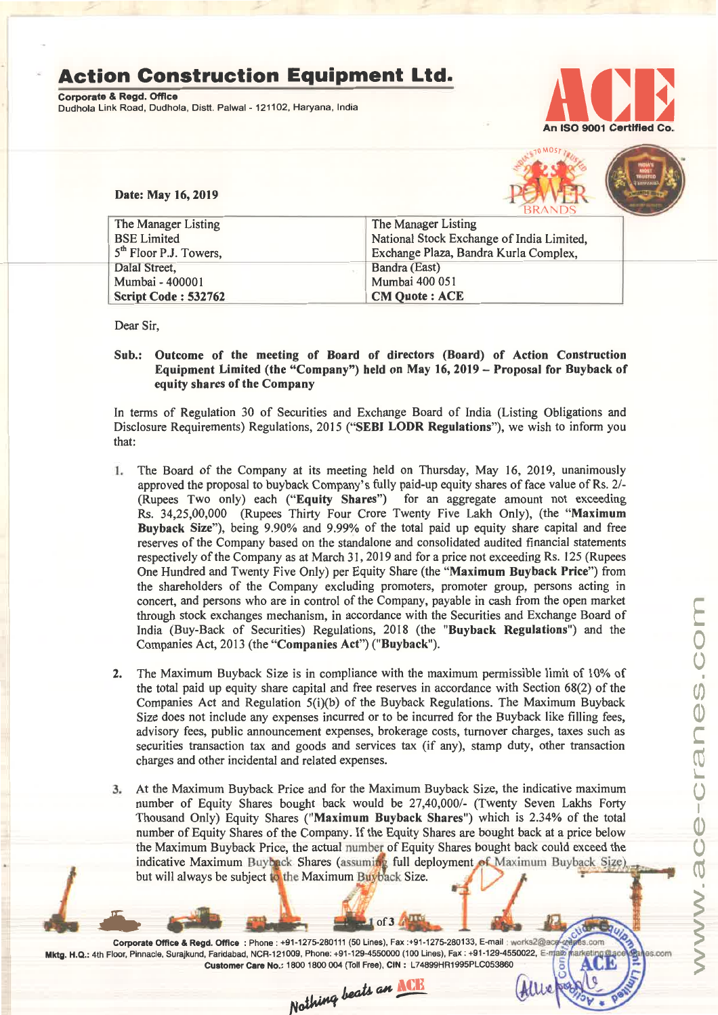## **Action Construction Equipment Ltd.**

Corporate & Regd. OffIce Dudhola Link Road, Dudhola, Distt. Palwal - 121102, Haryana, India



Date: May 16,2019



| The Manager Listing                | The Manager Listing                       |  |  |  |
|------------------------------------|-------------------------------------------|--|--|--|
| <b>BSE Limited</b>                 | National Stock Exchange of India Limited, |  |  |  |
| 5 <sup>th</sup> Floor P.J. Towers, | Exchange Plaza, Bandra Kurla Complex,     |  |  |  |
| Dalal Street,                      | Bandra (East)                             |  |  |  |
| Mumbai - 400001                    | Mumbai 400 051                            |  |  |  |
| Script Code: 532762                | <b>CM Quote: ACE</b>                      |  |  |  |

Dear Sir,

- I

## Sub.: Outcome of the meeting of Board of directors (Board) of Action Construction Equipment Limited (the "Company") held on May 16, 2019 - Proposal for Buyback of equity shares of the Company

In terms of Regulation 30 of Securities and Exchange Board of India (Listing Obligations and Disclosure Requirements) Regulations, 2015 ("SEBI LODR Regulations"), we wish to inform you that:

- L The Board of the Company at its meeting held on Thursday, May 16, 2019, unanimously approved the proposal to buyback Company's fully paid-up equity shares of face value of Rs. 2/-(Rupees Two only) each ("Equity Shares") for an aggregate amount not exceeding Rs. 34,25,00,000 (Rupees Thirty Four Crore Twenty Five Lakh Only), (the "Maximum Buyback Size"), being 9.90% and 9.99% of the total paid up equity share capital and free reserves of the Company based on the standalone and consolidated audited financial statements respectively of the Company as at March 31, 2019 and for a price not exceeding Rs. 125 (Rupees One Hundred and Twenty Five Only) per Equity Share (the "Maximum Buyback Price") from the shareholders of the Company excluding promoters, promoter group, persons acting in concert, and persons who are in control of the Company, payable in cash from the open market through stock exchanges mechanism, in accordance with the Securities and Exchange Board of India (Buy-Back of Securities) Regulations, 2018 (the "Buyback Regulations") and the Companies Act, 2013 (the "Companies Act") ("Buyback").
- 2. The Maximum Buyback Size is in compliance with the maximum permissible limit of 10% of the total paid up equity share capital and free reserves in accordance with Section 68(2) of the Companies Act and Regulation  $5(i)(b)$  of the Buyback Regulations. The Maximum Buyback Size does not include any expenses incurred or to be incurred for the Buyback like filling fees, advisory fees, public announcement expenses, brokerage costs, turnover charges, taxes such as securities transaction tax and goods and services tax (if any), stamp duty, other transaction charges and other incidental and related expenses.
- At the Maximum Buyback Price and for the Maximum Buyback Size, the indicative maximum number of Equity Shares bought back would be 27,40,000/- (Twenty Seven Lakhs Forty Thousand Only) Equity Shares ("Maximum Buyback Shares") which is 2.34% of the total number of Equity Shares of the Company. If the Equity Shares are bought back at a price below the Maximum Buyback Price, the actual number of Equity Shares bought back could exceed the indicative Maximum Buyback Shares (assuming full deployment of Maximum Buyback Size)<br>but will always be subject to the Maximum Buyback Size.

l of 3

 $M$ lle $\kappa$ 

Corporate Office & Regd. Office : Phone: +91-1275-280111 (50 Lines), Fax:+91-1275-280133, E-mail: works2@a Mktg. H.Q.: 4th Floor, Pinnacle, Surajkund, Faridabad, NCR-121009, Phone: +91-129-4550000 (100 Lines), Fax: +91-129-4550022, E-ma Customer Care No.: 1800 1800 004 (Toll Free), CIN: L74899HR1995PLC053860<br>
Mothimg beats an **NCE**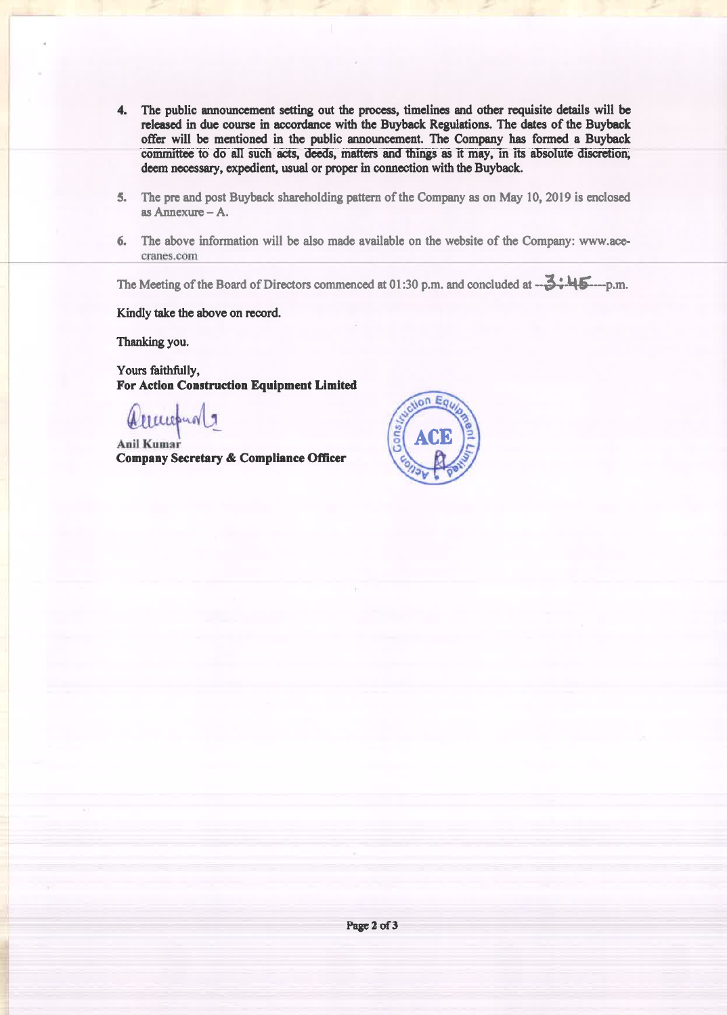- 4. The public announcement setting out the process, timelines and other requisite details will be released in due course in accordance with the Buyback Regulations. The dates of the Buyback offer will be mentioned in the public announcement. The Company has formed a Buyback committee to do all such acts, deeds, matters and things as it may, in its absolute discretion, deem necessary, expedient, usual or proper in connection with the Buyback.
- 5. The pre and post Buyback shareholding pattern of the Company as on May 10, 2019 is enclosed as Annexure  $-A$ .
- 6. The above information will be also made available on the website of the Company: www.acecranes.com

The Meeting of the Board of Directors commenced at 01:30 p.m. and concluded at  $-3:45...$ p.m.

Kindly take the above on record.

Thanking you.

Yours faithfully, **For Action Construction Equipment Limited** 

Allewand 9

**Anil Kumar** Company Secretary & Compliance Officer